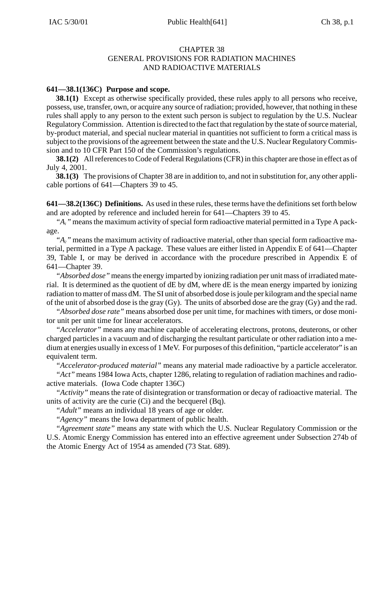#### CHAPTER 38 GENERAL PROVISIONS FOR RADIATION MACHINES AND RADIOACTIVE MATERIALS

## **641—38.1(136C) Purpose and scope.**

**38.1(1)** Except as otherwise specifically provided, these rules apply to all persons who receive, possess, use, transfer, own, or acquire any source of radiation; provided, however, that nothing in these rules shall apply to any person to the extent such person is subject to regulation by the U.S. Nuclear Regulatory Commission. Attention is directed to the fact that regulation by the state of source material, by-product material, and special nuclear material in quantities not sufficient to form a critical mass is subject to the provisions of the agreement between the state and the U.S. Nuclear Regulatory Commission and to 10 CFR Part 150 of the Commission's regulations.

**38.1(2)** All references to Code of Federal Regulations (CFR) in this chapter are those in effect as of July 4, 2001.

**38.1(3)** The provisions of Chapter 38 are in addition to, and not in substitution for, any other applicable portions of 641—Chapters 39 to 45.

**641—38.2(136C) Definitions.** As used in these rules, these terms have the definitions set forth below and are adopted by reference and included herein for 641—Chapters 39 to 45.

*"A1"* means the maximum activity of special form radioactive material permitted in a Type A package.

*"A2"* means the maximum activity of radioactive material, other than special form radioactive material, permitted in a Type A package. These values are either listed in Appendix E of 641—Chapter 39, Table I, or may be derived in accordance with the procedure prescribed in Appendix E of 641—Chapter 39.

*"Absorbed dose"* means the energy imparted by ionizing radiation per unit mass of irradiated material. It is determined as the quotient of dE by dM, where dE is the mean energy imparted by ionizing radiation to matter of mass dM. The SI unit of absorbed dose is joule per kilogram and the special name of the unit of absorbed dose is the gray (Gy). The units of absorbed dose are the gray (Gy) and the rad.

*"Absorbed dose rate"* means absorbed dose per unit time, for machines with timers, or dose monitor unit per unit time for linear accelerators.

*"Accelerator"* means any machine capable of accelerating electrons, protons, deuterons, or other charged particles in a vacuum and of discharging the resultant particulate or other radiation into a medium at energies usually in excess of 1 MeV. For purposes of this definition, "particle accelerator" is an equivalent term.

*"Accelerator-produced material"* means any material made radioactive by a particle accelerator.

*"Act"* means 1984 Iowa Acts, chapter 1286, relating to regulation of radiation machines and radioactive materials. (Iowa Code chapter 136C)

*"Activity"* means the rate of disintegration or transformation or decay of radioactive material. The units of activity are the curie (Ci) and the becquerel (Bq).

*"Adult"* means an individual 18 years of age or older.

*"Agency"* means the Iowa department of public health.

*"Agreement state"* means any state with which the U.S. Nuclear Regulatory Commission or the U.S. Atomic Energy Commission has entered into an effective agreement under Subsection 274b of the Atomic Energy Act of 1954 as amended (73 Stat. 689).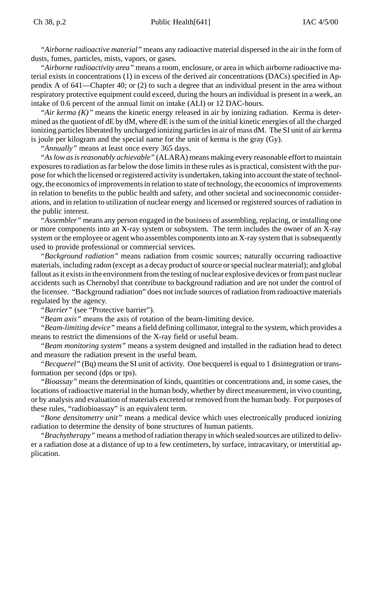*"Airborne radioactive material"* means any radioactive material dispersed in the air in the form of dusts, fumes, particles, mists, vapors, or gases.

*"Airborne radioactivity area"* means a room, enclosure, or area in which airborne radioactive material exists in concentrations (1) in excess of the derived air concentrations (DACs) specified in Appendix A of 641—Chapter 40; or (2) to such a degree that an individual present in the area without respiratory protective equipment could exceed, during the hours an individual is present in a week, an intake of 0.6 percent of the annual limit on intake (ALI) or 12 DAC-hours.

*"Air kerma (K)"* means the kinetic energy released in air by ionizing radiation. Kerma is determined as the quotient of dE by dM, where dE is the sum of the initial kinetic energies of all the charged ionizing particles liberated by uncharged ionizing particles in air of mass dM. The SI unit of air kerma is joule per kilogram and the special name for the unit of kerma is the gray (Gy).

*"Annually"* means at least once every 365 days.

*"As low as is reasonably achievable"* (ALARA) means making every reasonable effort to maintain exposures to radiation as far below the dose limits in these rules as is practical, consistent with the purpose for which the licensed or registered activity is undertaken, taking into account the state of technology, the economics of improvements in relation to state of technology, the economics of improvements in relation to benefits to the public health and safety, and other societal and socioeconomic considerations, and in relation to utilization of nuclear energy and licensed or registered sources of radiation in the public interest.

*"Assembler"* means any person engaged in the business of assembling, replacing, or installing one or more components into an X-ray system or subsystem. The term includes the owner of an X-ray system or the employee or agent who assembles components into an X-ray system that is subsequently used to provide professional or commercial services.

*"Background radiation"* means radiation from cosmic sources; naturally occurring radioactive materials, including radon (except as a decay product of source or special nuclear material); and global fallout as it exists in the environment from the testing of nuclear explosive devices or from past nuclear accidents such as Chernobyl that contribute to background radiation and are not under the control of the licensee. "Background radiation" does not include sources of radiation from radioactive materials regulated by the agency.

*"Barrier"* (see "Protective barrier").

*"Beam axis"* means the axis of rotation of the beam-limiting device.

*"Beam-limiting device"* means a field defining collimator, integral to the system, which provides a means to restrict the dimensions of the X-ray field or useful beam.

*"Beam monitoring system"* means a system designed and installed in the radiation head to detect and measure the radiation present in the useful beam.

*"Becquerel"* (Bq) means the SI unit of activity. One becquerel is equal to 1 disintegration or transformation per second (dps or tps).

*"Bioassay"* means the determination of kinds, quantities or concentrations and, in some cases, the locations of radioactive material in the human body, whether by direct measurement, in vivo counting, or by analysis and evaluation of materials excreted or removed from the human body. For purposes of these rules, "radiobioassay" is an equivalent term.

*"Bone densitometry unit"* means a medical device which uses electronically produced ionizing radiation to determine the density of bone structures of human patients.

*"Brachytherapy"* means a method of radiation therapy in which sealed sources are utilized to deliver a radiation dose at a distance of up to a few centimeters, by surface, intracavitary, or interstitial application.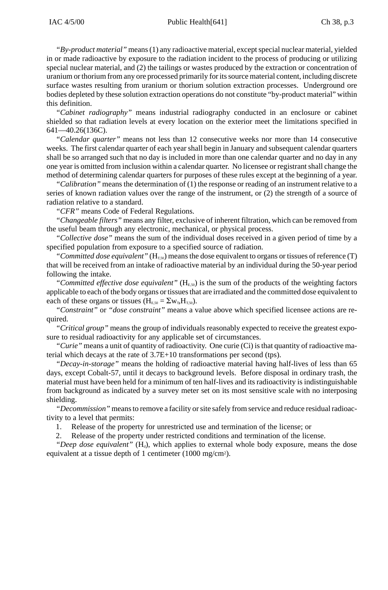*"By-product material"* means (1) any radioactive material, except special nuclear material, yielded in or made radioactive by exposure to the radiation incident to the process of producing or utilizing special nuclear material, and (2) the tailings or wastes produced by the extraction or concentration of uranium or thorium from any ore processed primarily for its source material content, including discrete surface wastes resulting from uranium or thorium solution extraction processes. Underground ore bodies depleted by these solution extraction operations do not constitute "by-product material" within this definition.

*"Cabinet radiography"* means industrial radiography conducted in an enclosure or cabinet shielded so that radiation levels at every location on the exterior meet the limitations specified in 641—40.26(136C).

*"Calendar quarter"* means not less than 12 consecutive weeks nor more than 14 consecutive weeks. The first calendar quarter of each year shall begin in January and subsequent calendar quarters shall be so arranged such that no day is included in more than one calendar quarter and no day in any one year is omitted from inclusion within a calendar quarter. No licensee or registrant shall change the method of determining calendar quarters for purposes of these rules except at the beginning of a year.

*"Calibration"* means the determination of (1) the response or reading of an instrument relative to a series of known radiation values over the range of the instrument, or (2) the strength of a source of radiation relative to a standard.

*"CFR"* means Code of Federal Regulations.

*"Changeable filters"* means any filter, exclusive of inherent filtration, which can be removed from the useful beam through any electronic, mechanical, or physical process.

*"Collective dose"* means the sum of the individual doses received in a given period of time by a specified population from exposure to a specified source of radiation.

"Committed dose equivalent" ( $H_{T,50}$ ) means the dose equivalent to organs or tissues of reference (T) that will be received from an intake of radioactive material by an individual during the 50-year period following the intake.

"Committed effective dose equivalent" ( $H<sub>E,50</sub>$ ) is the sum of the products of the weighting factors applicable to each of the body organs or tissues that are irradiated and the committed dose equivalent to each of these organs or tissues ( $H_{E,50} = \Sigma w_{T} H_{T,50}$ ).

*"Constraint"* or *"dose constraint"* means a value above which specified licensee actions are required.

*"Critical group"* means the group of individuals reasonably expected to receive the greatest exposure to residual radioactivity for any applicable set of circumstances.

*"Curie"* means a unit of quantity of radioactivity. One curie (Ci) is that quantity of radioactive material which decays at the rate of 3.7E+10 transformations per second (tps).

*"Decay-in-storage"* means the holding of radioactive material having half-lives of less than 65 days, except Cobalt-57, until it decays to background levels. Before disposal in ordinary trash, the material must have been held for a minimum of ten half-lives and its radioactivity is indistinguishable from background as indicated by a survey meter set on its most sensitive scale with no interposing shielding.

*"Decommission"* means to remove a facility or site safely from service and reduce residual radioactivity to a level that permits:

1. Release of the property for unrestricted use and termination of the license; or

Release of the property under restricted conditions and termination of the license.

"Deep dose equivalent" (H<sub>d</sub>), which applies to external whole body exposure, means the dose equivalent at a tissue depth of 1 centimeter (1000 mg/cm2).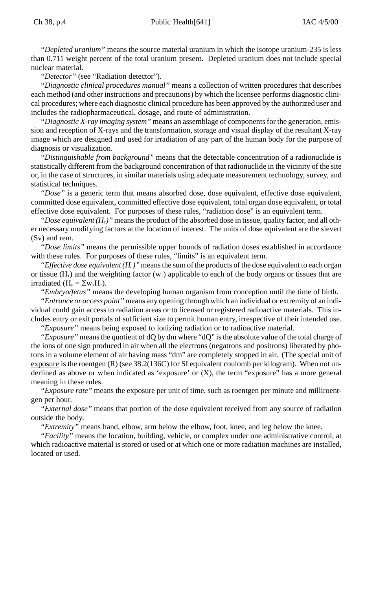*"Depleted uranium"* means the source material uranium in which the isotope uranium-235 is less than 0.711 weight percent of the total uranium present. Depleted uranium does not include special nuclear material.

*"Detector"* (see "Radiation detector").

*"Diagnostic clinical procedures manual"* means a collection of written procedures that describes each method (and other instructions and precautions) by which the licensee performs diagnostic clinical procedures; where each diagnostic clinical procedure has been approved by the authorized user and includes the radiopharmaceutical, dosage, and route of administration.

*"Diagnostic X-ray imaging system"* means an assemblage of components for the generation, emission and reception of X-rays and the transformation, storage and visual display of the resultant X-ray image which are designed and used for irradiation of any part of the human body for the purpose of diagnosis or visualization.

*"Distinguishable from background"* means that the detectable concentration of a radionuclide is statistically different from the background concentration of that radionuclide in the vicinity of the site or, in the case of structures, in similar materials using adequate measurement technology, survey, and statistical techniques.

*"Dose"* is a generic term that means absorbed dose, dose equivalent, effective dose equivalent, committed dose equivalent, committed effective dose equivalent, total organ dose equivalent, or total effective dose equivalent. For purposes of these rules, "radiation dose" is an equivalent term.

*"Dose equivalent*  $(H_T)$ *"* means the product of the absorbed dose in tissue, quality factor, and all other necessary modifying factors at the location of interest. The units of dose equivalent are the sievert (Sv) and rem.

*"Dose limits"* means the permissible upper bounds of radiation doses established in accordance with these rules. For purposes of these rules, "limits" is an equivalent term.

*"Effective dose equivalent*  $(H<sub>E</sub>)$ *"* means the sum of the products of the dose equivalent to each organ or tissue (H<sub>T</sub>) and the weighting factor ( $w_T$ ) applicable to each of the body organs or tissues that are irradiated  $(H_E = \Sigma w_T H_T)$ .

*"Embryo/fetus"* means the developing human organism from conception until the time of birth.

*"Entrance or access point"* means any opening through which an individual or extremity of an individual could gain access to radiation areas or to licensed or registered radioactive materials. This includes entry or exit portals of sufficient size to permit human entry, irrespective of their intended use. *"Exposure"* means being exposed to ionizing radiation or to radioactive material.

*"Exposure"* means the quotient of dQ by dm where "dQ" is the absolute value of the total charge of the ions of one sign produced in air when all the electrons (negatrons and positrons) liberated by photons in a volume element of air having mass "dm" are completely stopped in air. (The special unit of exposure is the roentgen (R) (see 38.2(136C) for SI equivalent coulomb per kilogram). When not underlined as above or when indicated as 'exposure' or (X), the term "exposure" has a more general meaning in these rules.

*"Exposure rate"* means the exposure per unit of time, such as roentgen per minute and milliroentgen per hour.

*"External dose"* means that portion of the dose equivalent received from any source of radiation outside the body.

*"Extremity"* means hand, elbow, arm below the elbow, foot, knee, and leg below the knee.

*"Facility"* means the location, building, vehicle, or complex under one administrative control, at which radioactive material is stored or used or at which one or more radiation machines are installed, located or used.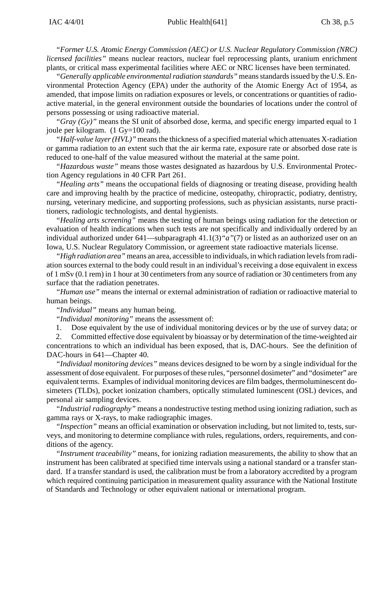*"Former U.S. Atomic Energy Commission (AEC) or U.S. Nuclear Regulatory Commission (NRC) licensed facilities"* means nuclear reactors, nuclear fuel reprocessing plants, uranium enrichment plants, or critical mass experimental facilities where AEC or NRC licenses have been terminated.

*"Generally applicable environmental radiation standards"* means standards issued by the U.S. Environmental Protection Agency (EPA) under the authority of the Atomic Energy Act of 1954, as amended, that impose limits on radiation exposures or levels, or concentrations or quantities of radioactive material, in the general environment outside the boundaries of locations under the control of persons possessing or using radioactive material.

*"Gray (Gy)"* means the SI unit of absorbed dose, kerma, and specific energy imparted equal to 1 joule per kilogram. (1 Gy=100 rad).

*"Half-value layer (HVL)"* means the thickness of a specified material which attenuates X-radiation or gamma radiation to an extent such that the air kerma rate, exposure rate or absorbed dose rate is reduced to one-half of the value measured without the material at the same point.

*"Hazardous waste"* means those wastes designated as hazardous by U.S. Environmental Protection Agency regulations in 40 CFR Part 261.

*"Healing arts"* means the occupational fields of diagnosing or treating disease, providing health care and improving health by the practice of medicine, osteopathy, chiropractic, podiatry, dentistry, nursing, veterinary medicine, and supporting professions, such as physician assistants, nurse practitioners, radiologic technologists, and dental hygienists.

*"Healing arts screening"* means the testing of human beings using radiation for the detection or evaluation of health indications when such tests are not specifically and individually ordered by an individual authorized under 641—subparagraph 41.1(3)*"a"*(7) or listed as an authorized user on an Iowa, U.S. Nuclear Regulatory Commission, or agreement state radioactive materials license.

*"High radiation area"* means an area, accessible to individuals, in which radiation levels from radiation sources external to the body could result in an individual's receiving a dose equivalent in excess of 1 mSv (0.1 rem) in 1 hour at 30 centimeters from any source of radiation or 30 centimeters from any surface that the radiation penetrates.

*"Human use"* means the internal or external administration of radiation or radioactive material to human beings.

*"Individual"* means any human being.

*"Individual monitoring"* means the assessment of:

1. Dose equivalent by the use of individual monitoring devices or by the use of survey data; or

2. Committed effective dose equivalent by bioassay or by determination of the time-weighted air concentrations to which an individual has been exposed, that is, DAC-hours. See the definition of DAC-hours in 641—Chapter 40.

*"Individual monitoring devices"* means devices designed to be worn by a single individual for the assessment of dose equivalent. For purposes of these rules, "personnel dosimeter" and "dosimeter" are equivalent terms. Examples of individual monitoring devices are film badges, thermoluminescent dosimeters (TLDs), pocket ionization chambers, optically stimulated luminescent (OSL) devices, and personal air sampling devices.

*"Industrial radiography"* means a nondestructive testing method using ionizing radiation, such as gamma rays or X-rays, to make radiographic images.

*"Inspection"* means an official examination or observation including, but not limited to, tests, surveys, and monitoring to determine compliance with rules, regulations, orders, requirements, and conditions of the agency.

*"Instrument traceability"* means, for ionizing radiation measurements, the ability to show that an instrument has been calibrated at specified time intervals using a national standard or a transfer standard. If a transfer standard is used, the calibration must be from a laboratory accredited by a program which required continuing participation in measurement quality assurance with the National Institute of Standards and Technology or other equivalent national or international program.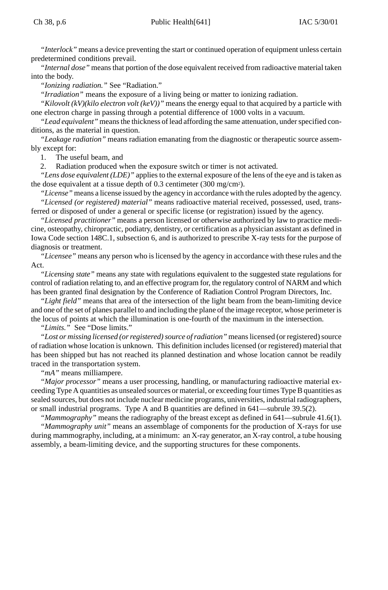*"Interlock"* means a device preventing the start or continued operation of equipment unless certain predetermined conditions prevail.

*"Internal dose"* means that portion of the dose equivalent received from radioactive material taken into the body.

*"Ionizing radiation."* See "Radiation."

*"Irradiation"* means the exposure of a living being or matter to ionizing radiation.

*"Kilovolt (kV)(kilo electron volt (keV))"* means the energy equal to that acquired by a particle with one electron charge in passing through a potential difference of 1000 volts in a vacuum.

*"Lead equivalent"* means the thickness of lead affording the same attenuation, under specified conditions, as the material in question.

*"Leakage radiation"* means radiation emanating from the diagnostic or therapeutic source assembly except for:

1. The useful beam, and

2. Radiation produced when the exposure switch or timer is not activated.

*"Lens dose equivalent (LDE)"* applies to the external exposure of the lens of the eye and is taken as the dose equivalent at a tissue depth of 0.3 centimeter (300 mg/cm2).

*"License"* means a license issued by the agency in accordance with the rules adopted by the agency. *"Licensed (or registered) material"* means radioactive material received, possessed, used, transferred or disposed of under a general or specific license (or registration) issued by the agency.

*"Licensed practitioner"* means a person licensed or otherwise authorized by law to practice medicine, osteopathy, chiropractic, podiatry, dentistry, or certification as a physician assistant as defined in Iowa Code section 148C.1, subsection 6, and is authorized to prescribe X-ray tests for the purpose of diagnosis or treatment.

*"Licensee"* means any person who is licensed by the agency in accordance with these rules and the Act.

*"Licensing state"* means any state with regulations equivalent to the suggested state regulations for control of radiation relating to, and an effective program for, the regulatory control of NARM and which has been granted final designation by the Conference of Radiation Control Program Directors, Inc.

*"Light field"* means that area of the intersection of the light beam from the beam-limiting device and one of the set of planes parallel to and including the plane of the image receptor, whose perimeter is the locus of points at which the illumination is one-fourth of the maximum in the intersection.

*"Limits."* See "Dose limits."

*"Lost or missing licensed (or registered) source of radiation"* means licensed (or registered) source of radiation whose location is unknown. This definition includes licensed (or registered) material that has been shipped but has not reached its planned destination and whose location cannot be readily traced in the transportation system.

*"mA"* means milliampere.

*"Major processor"* means a user processing, handling, or manufacturing radioactive material exceeding Type A quantities as unsealed sources or material, or exceeding four times Type B quantities as sealed sources, but does not include nuclear medicine programs, universities, industrial radiographers, or small industrial programs. Type A and B quantities are defined in 641—subrule 39.5(2).

*"Mammography"* means the radiography of the breast except as defined in 641—subrule 41.6(1).

*"Mammography unit"* means an assemblage of components for the production of X-rays for use during mammography, including, at a minimum: an X-ray generator, an X-ray control, a tube housing assembly, a beam-limiting device, and the supporting structures for these components.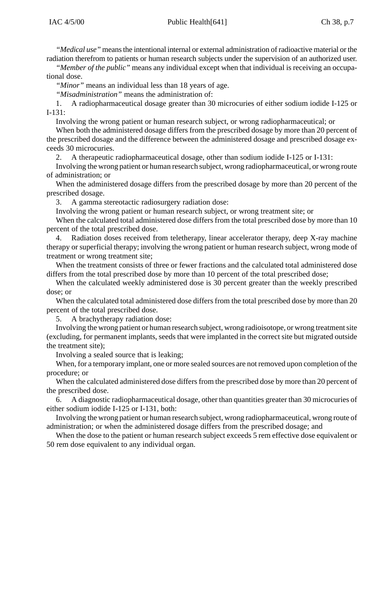*"Medical use"* means the intentional internal or external administration of radioactive material or the radiation therefrom to patients or human research subjects under the supervision of an authorized user.

*"Member of the public"* means any individual except when that individual is receiving an occupational dose.

*"Minor"* means an individual less than 18 years of age.

*"Misadministration"* means the administration of:

1. A radiopharmaceutical dosage greater than 30 microcuries of either sodium iodide I-125 or I-131:

Involving the wrong patient or human research subject, or wrong radiopharmaceutical; or

When both the administered dosage differs from the prescribed dosage by more than 20 percent of the prescribed dosage and the difference between the administered dosage and prescribed dosage exceeds 30 microcuries.

2. A therapeutic radiopharmaceutical dosage, other than sodium iodide I-125 or I-131:

Involving the wrong patient or human research subject, wrong radiopharmaceutical, or wrong route of administration; or

When the administered dosage differs from the prescribed dosage by more than 20 percent of the prescribed dosage.

3. A gamma stereotactic radiosurgery radiation dose:

Involving the wrong patient or human research subject, or wrong treatment site; or

When the calculated total administered dose differs from the total prescribed dose by more than 10 percent of the total prescribed dose.

4. Radiation doses received from teletherapy, linear accelerator therapy, deep X-ray machine therapy or superficial therapy; involving the wrong patient or human research subject, wrong mode of treatment or wrong treatment site;

When the treatment consists of three or fewer fractions and the calculated total administered dose differs from the total prescribed dose by more than 10 percent of the total prescribed dose;

When the calculated weekly administered dose is 30 percent greater than the weekly prescribed dose; or

When the calculated total administered dose differs from the total prescribed dose by more than 20 percent of the total prescribed dose.

5. A brachytherapy radiation dose:

Involving the wrong patient or human research subject, wrong radioisotope, or wrong treatment site (excluding, for permanent implants, seeds that were implanted in the correct site but migrated outside the treatment site);

Involving a sealed source that is leaking;

When, for a temporary implant, one or more sealed sources are not removed upon completion of the procedure; or

When the calculated administered dose differs from the prescribed dose by more than 20 percent of the prescribed dose.

6. A diagnostic radiopharmaceutical dosage, other than quantities greater than 30 microcuries of either sodium iodide I-125 or I-131, both:

Involving the wrong patient or human research subject, wrong radiopharmaceutical, wrong route of administration; or when the administered dosage differs from the prescribed dosage; and

When the dose to the patient or human research subject exceeds 5 rem effective dose equivalent or 50 rem dose equivalent to any individual organ.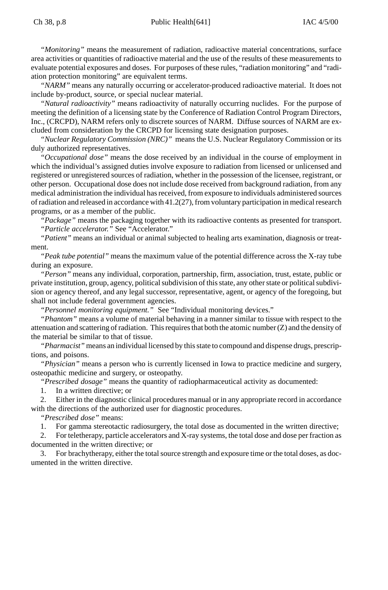*"Monitoring"* means the measurement of radiation, radioactive material concentrations, surface area activities or quantities of radioactive material and the use of the results of these measurements to evaluate potential exposures and doses. For purposes of these rules, "radiation monitoring" and "radiation protection monitoring" are equivalent terms.

*"NARM"* means any naturally occurring or accelerator-produced radioactive material. It does not include by-product, source, or special nuclear material.

*"Natural radioactivity"* means radioactivity of naturally occurring nuclides. For the purpose of meeting the definition of a licensing state by the Conference of Radiation Control Program Directors, Inc., (CRCPD), NARM refers only to discrete sources of NARM. Diffuse sources of NARM are excluded from consideration by the CRCPD for licensing state designation purposes.

*"Nuclear Regulatory Commission (NRC)"* means the U.S. Nuclear Regulatory Commission or its duly authorized representatives.

*"Occupational dose"* means the dose received by an individual in the course of employment in which the individual's assigned duties involve exposure to radiation from licensed or unlicensed and registered or unregistered sources of radiation, whether in the possession of the licensee, registrant, or other person. Occupational dose does not include dose received from background radiation, from any medical administration the individual has received, from exposure to individuals administered sources of radiation and released in accordance with 41.2(27), from voluntary participation in medical research programs, or as a member of the public.

*"Package"* means the packaging together with its radioactive contents as presented for transport. *"Particle accelerator."* See "Accelerator."

*"Patient"* means an individual or animal subjected to healing arts examination, diagnosis or treatment.

*"Peak tube potential"* means the maximum value of the potential difference across the X-ray tube during an exposure.

*"Person"* means any individual, corporation, partnership, firm, association, trust, estate, public or private institution, group, agency, political subdivision of this state, any other state or political subdivision or agency thereof, and any legal successor, representative, agent, or agency of the foregoing, but shall not include federal government agencies.

*"Personnel monitoring equipment."* See "Individual monitoring devices."

*"Phantom"* means a volume of material behaving in a manner similar to tissue with respect to the attenuation and scattering of radiation. This requires that both the atomic number (Z) and the density of the material be similar to that of tissue.

*"Pharmacist"* means an individual licensed by this state to compound and dispense drugs, prescriptions, and poisons.

*"Physician"* means a person who is currently licensed in Iowa to practice medicine and surgery, osteopathic medicine and surgery, or osteopathy.

*"Prescribed dosage"* means the quantity of radiopharmaceutical activity as documented:

1. In a written directive; or

2. Either in the diagnostic clinical procedures manual or in any appropriate record in accordance with the directions of the authorized user for diagnostic procedures.

*"Prescribed dose"* means:

1. For gamma stereotactic radiosurgery, the total dose as documented in the written directive;

2. For teletherapy, particle accelerators and X-ray systems, the total dose and dose per fraction as documented in the written directive; or

3. For brachytherapy, either the total source strength and exposure time or the total doses, as documented in the written directive.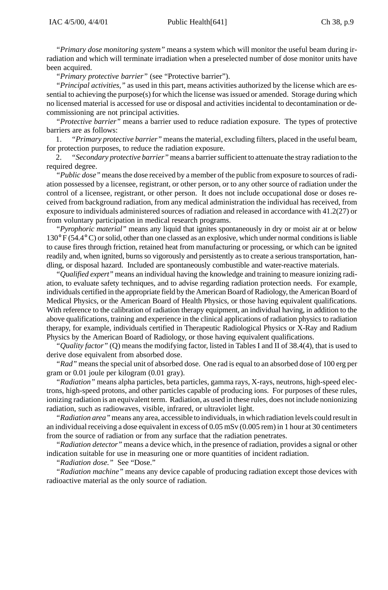*"Primary dose monitoring system"* means a system which will monitor the useful beam during irradiation and which will terminate irradiation when a preselected number of dose monitor units have been acquired.

*"Primary protective barrier"* (see "Protective barrier").

*"Principal activities,"* as used in this part, means activities authorized by the license which are essential to achieving the purpose(s) for which the license was issued or amended. Storage during which no licensed material is accessed for use or disposal and activities incidental to decontamination or decommissioning are not principal activities.

*"Protective barrier"* means a barrier used to reduce radiation exposure. The types of protective barriers are as follows:

1. *"Primary protective barrier"* means the material, excluding filters, placed in the useful beam, for protection purposes, to reduce the radiation exposure.

2. *"Secondary protective barrier"* means a barrier sufficient to attenuate the stray radiation to the required degree.

*"Public dose"* means the dose received by a member of the public from exposure to sources of radiation possessed by a licensee, registrant, or other person, or to any other source of radiation under the control of a licensee, registrant, or other person. It does not include occupational dose or doses received from background radiation, from any medical administration the individual has received, from exposure to individuals administered sources of radiation and released in accordance with 41.2(27) or from voluntary participation in medical research programs.

*"Pyrophoric material"* means any liquid that ignites spontaneously in dry or moist air at or below 130° F (54.4° C) or solid, other than one classed as an explosive, which under normal conditions is liable to cause fires through friction, retained heat from manufacturing or processing, or which can be ignited readily and, when ignited, burns so vigorously and persistently as to create a serious transportation, handling, or disposal hazard. Included are spontaneously combustible and water-reactive materials.

*"Qualified expert"* means an individual having the knowledge and training to measure ionizing radiation, to evaluate safety techniques, and to advise regarding radiation protection needs. For example, individuals certified in the appropriate field by the American Board of Radiology, the American Board of Medical Physics, or the American Board of Health Physics, or those having equivalent qualifications. With reference to the calibration of radiation therapy equipment, an individual having, in addition to the above qualifications, training and experience in the clinical applications of radiation physics to radiation therapy, for example, individuals certified in Therapeutic Radiological Physics or X-Ray and Radium Physics by the American Board of Radiology, or those having equivalent qualifications.

*"Quality factor"* (Q) means the modifying factor, listed in Tables I and II of 38.4(4), that is used to derive dose equivalent from absorbed dose.

*"Rad"* means the special unit of absorbed dose. One rad is equal to an absorbed dose of 100 erg per gram or 0.01 joule per kilogram (0.01 gray).

*"Radiation"* means alpha particles, beta particles, gamma rays, X-rays, neutrons, high-speed electrons, high-speed protons, and other particles capable of producing ions. For purposes of these rules, ionizing radiation is an equivalent term. Radiation, as used in these rules, does not include nonionizing radiation, such as radiowaves, visible, infrared, or ultraviolet light.

*"Radiation area"* means any area, accessible to individuals, in which radiation levels could result in an individual receiving a dose equivalent in excess of 0.05 mSv (0.005 rem) in 1 hour at 30 centimeters from the source of radiation or from any surface that the radiation penetrates.

*"Radiation detector"* means a device which, in the presence of radiation, provides a signal or other indication suitable for use in measuring one or more quantities of incident radiation.

*"Radiation dose."* See "Dose."

*"Radiation machine"* means any device capable of producing radiation except those devices with radioactive material as the only source of radiation.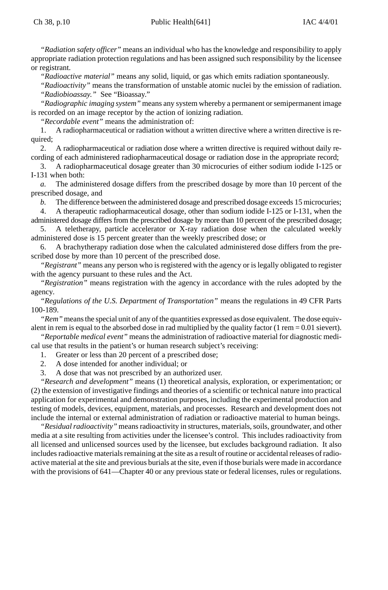*"Radiation safety officer"* means an individual who has the knowledge and responsibility to apply appropriate radiation protection regulations and has been assigned such responsibility by the licensee or registrant.

*"Radioactive material"* means any solid, liquid, or gas which emits radiation spontaneously.

*"Radioactivity"* means the transformation of unstable atomic nuclei by the emission of radiation. *"Radiobioassay."* See "Bioassay."

*"Radiographic imaging system"* means any system whereby a permanent or semipermanent image is recorded on an image receptor by the action of ionizing radiation.

*"Recordable event"* means the administration of:

1. A radiopharmaceutical or radiation without a written directive where a written directive is required;

2. A radiopharmaceutical or radiation dose where a written directive is required without daily recording of each administered radiopharmaceutical dosage or radiation dose in the appropriate record;

3. A radiopharmaceutical dosage greater than 30 microcuries of either sodium iodide I-125 or I-131 when both:

*a.* The administered dosage differs from the prescribed dosage by more than 10 percent of the prescribed dosage, and

*b.* The difference between the administered dosage and prescribed dosage exceeds 15 microcuries;

4. A therapeutic radiopharmaceutical dosage, other than sodium iodide I-125 or I-131, when the administered dosage differs from the prescribed dosage by more than 10 percent of the prescribed dosage;

5. A teletherapy, particle accelerator or X-ray radiation dose when the calculated weekly administered dose is 15 percent greater than the weekly prescribed dose; or

6. A brachytherapy radiation dose when the calculated administered dose differs from the prescribed dose by more than 10 percent of the prescribed dose.

*"Registrant"* means any person who is registered with the agency or is legally obligated to register with the agency pursuant to these rules and the Act.

*"Registration"* means registration with the agency in accordance with the rules adopted by the agency.

*"Regulations of the U.S. Department of Transportation"* means the regulations in 49 CFR Parts 100-189.

*"Rem"* means the special unit of any of the quantities expressed as dose equivalent. The dose equivalent in rem is equal to the absorbed dose in rad multiplied by the quality factor (1 rem =  $0.01$  sievert).

*"Reportable medical event"* means the administration of radioactive material for diagnostic medical use that results in the patient's or human research subject's receiving:

1. Greater or less than 20 percent of a prescribed dose;

- 2. A dose intended for another individual; or
- 3. A dose that was not prescribed by an authorized user.

*"Research and development"* means (1) theoretical analysis, exploration, or experimentation; or (2) the extension of investigative findings and theories of a scientific or technical nature into practical application for experimental and demonstration purposes, including the experimental production and testing of models, devices, equipment, materials, and processes. Research and development does not include the internal or external administration of radiation or radioactive material to human beings.

*"Residual radioactivity"* means radioactivity in structures, materials, soils, groundwater, and other media at a site resulting from activities under the licensee's control. This includes radioactivity from all licensed and unlicensed sources used by the licensee, but excludes background radiation. It also includes radioactive materials remaining at the site as a result of routine or accidental releases of radioactive material at the site and previous burials at the site, even if those burials were made in accordance with the provisions of 641—Chapter 40 or any previous state or federal licenses, rules or regulations.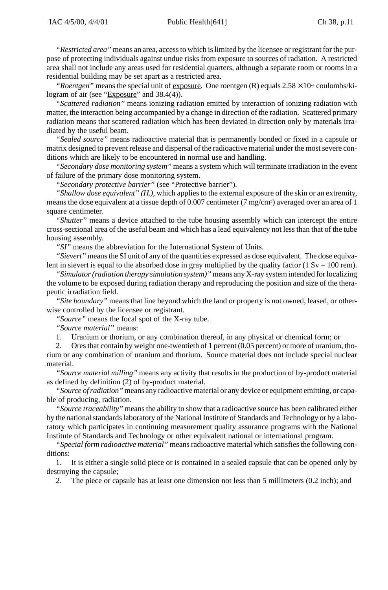*"Restricted area"* means an area, access to which is limited by the licensee or registrant for the purpose of protecting individuals against undue risks from exposure to sources of radiation. A restricted area shall not include any areas used for residential quarters, although a separate room or rooms in a residential building may be set apart as a restricted area.

*"Roentgen"* means the special unit of exposure. One roentgen (R) equals  $2.58 \times 10$ <sup>4</sup> coulombs/kilogram of air (see "Exposure" and 38.4(4)).

*"Scattered radiation"* means ionizing radiation emitted by interaction of ionizing radiation with matter, the interaction being accompanied by a change in direction of the radiation. Scattered primary radiation means that scattered radiation which has been deviated in direction only by materials irradiated by the useful beam.

*"Sealed source"* means radioactive material that is permanently bonded or fixed in a capsule or matrix designed to prevent release and dispersal of the radioactive material under the most severe conditions which are likely to be encountered in normal use and handling.

*"Secondary dose monitoring system"* means a system which will terminate irradiation in the event of failure of the primary dose monitoring system.

*"Secondary protective barrier"* (see "Protective barrier").

"Shallow dose equivalent"  $(H_s)$ , which applies to the external exposure of the skin or an extremity, means the dose equivalent at a tissue depth of 0.007 centimeter (7 mg/cm<sup>2</sup>) averaged over an area of 1 square centimeter.

*"Shutter"* means a device attached to the tube housing assembly which can intercept the entire cross-sectional area of the useful beam and which has a lead equivalency not less than that of the tube housing assembly.

*"SI"* means the abbreviation for the International System of Units.

*"Sievert"* means the SI unit of any of the quantities expressed as dose equivalent. The dose equivalent in sievert is equal to the absorbed dose in gray multiplied by the quality factor (1 Sv = 100 rem).

*"Simulator (radiation therapy simulation system)"* means any X-ray system intended for localizing the volume to be exposed during radiation therapy and reproducing the position and size of the therapeutic irradiation field.

*"Site boundary"* means that line beyond which the land or property is not owned, leased, or otherwise controlled by the licensee or registrant.

*"Source"* means the focal spot of the X-ray tube.

*"Source material"* means:

1. Uranium or thorium, or any combination thereof, in any physical or chemical form; or

2. Ores that contain by weight one-twentieth of 1 percent (0.05 percent) or more of uranium, thorium or any combination of uranium and thorium. Source material does not include special nuclear material.

*"Source material milling"* means any activity that results in the production of by-product material as defined by definition (2) of by-product material.

*"Source of radiation"* means any radioactive material or any device or equipment emitting, or capable of producing, radiation.

*"Source traceability"* means the ability to show that a radioactive source has been calibrated either by the national standards laboratory of the National Institute of Standards and Technology or by a laboratory which participates in continuing measurement quality assurance programs with the National Institute of Standards and Technology or other equivalent national or international program.

*"Special form radioactive material"* means radioactive material which satisfies the following conditions:

1. It is either a single solid piece or is contained in a sealed capsule that can be opened only by destroying the capsule;

2. The piece or capsule has at least one dimension not less than 5 millimeters (0.2 inch); and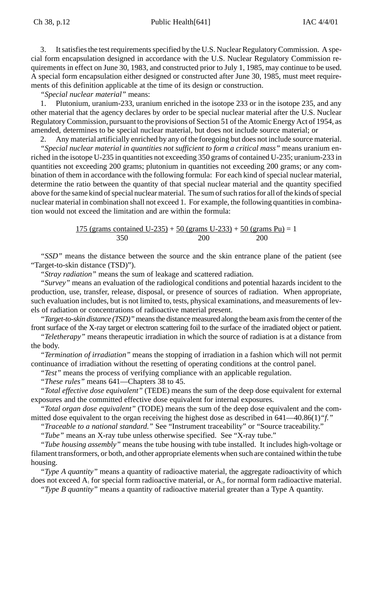3. It satisfies the test requirements specified by the U.S. Nuclear Regulatory Commission. A special form encapsulation designed in accordance with the U.S. Nuclear Regulatory Commission requirements in effect on June 30, 1983, and constructed prior to July 1, 1985, may continue to be used. A special form encapsulation either designed or constructed after June 30, 1985, must meet requirements of this definition applicable at the time of its design or construction.

*"Special nuclear material"* means:

1. Plutonium, uranium-233, uranium enriched in the isotope 233 or in the isotope 235, and any other material that the agency declares by order to be special nuclear material after the U.S. Nuclear Regulatory Commission, pursuant to the provisions of Section 51 of the Atomic Energy Act of 1954, as amended, determines to be special nuclear material, but does not include source material; or

2. Any material artificially enriched by any of the foregoing but does not include source material. *"Special nuclear material in quantities not sufficient to form a critical mass"* means uranium enriched in the isotope U-235 in quantities not exceeding 350 grams of contained U-235; uranium-233 in quantities not exceeding 200 grams; plutonium in quantities not exceeding 200 grams; or any combination of them in accordance with the following formula: For each kind of special nuclear material, determine the ratio between the quantity of that special nuclear material and the quantity specified above for the same kind of special nuclear material. The sum of such ratios for all of the kinds of special nuclear material in combination shall not exceed 1. For example, the following quantities in combination would not exceed the limitation and are within the formula:

> 175 (grams contained U-235) + 50 (grams U-233) + 50 (grams Pu) = 1 350 200 200

*"SSD"* means the distance between the source and the skin entrance plane of the patient (see "Target-to-skin distance (TSD)").

*"Stray radiation"* means the sum of leakage and scattered radiation.

*"Survey"* means an evaluation of the radiological conditions and potential hazards incident to the production, use, transfer, release, disposal, or presence of sources of radiation. When appropriate, such evaluation includes, but is not limited to, tests, physical examinations, and measurements of levels of radiation or concentrations of radioactive material present.

*"Target-to-skin distance (TSD)"* means the distance measured along the beam axis from the center of the front surface of the X-ray target or electron scattering foil to the surface of the irradiated object or patient.

*"Teletherapy"* means therapeutic irradiation in which the source of radiation is at a distance from the body.

*"Termination of irradiation"* means the stopping of irradiation in a fashion which will not permit continuance of irradiation without the resetting of operating conditions at the control panel.

*"Test"* means the process of verifying compliance with an applicable regulation.

*"These rules"* means 641—Chapters 38 to 45.

*"Total effective dose equivalent"* (TEDE) means the sum of the deep dose equivalent for external exposures and the committed effective dose equivalent for internal exposures.

*"Total organ dose equivalent"* (TODE) means the sum of the deep dose equivalent and the committed dose equivalent to the organ receiving the highest dose as described in 641—40.86(1)*"f."*

*"Traceable to a national standard."* See "Instrument traceability" or "Source traceability."

*"Tube"* means an X-ray tube unless otherwise specified. See "X-ray tube."

*"Tube housing assembly"* means the tube housing with tube installed. It includes high-voltage or filament transformers, or both, and other appropriate elements when such are contained within the tube housing.

*"Type A quantity"* means a quantity of radioactive material, the aggregate radioactivity of which does not exceed  $A_1$  for special form radioactive material, or  $A_2$ , for normal form radioactive material.

*"Type B quantity"* means a quantity of radioactive material greater than a Type A quantity.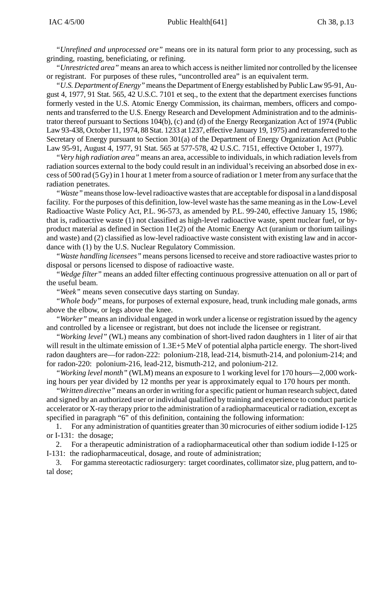*"Unrefined and unprocessed ore"* means ore in its natural form prior to any processing, such as grinding, roasting, beneficiating, or refining.

*"Unrestricted area"* means an area to which access is neither limited nor controlled by the licensee or registrant. For purposes of these rules, "uncontrolled area" is an equivalent term.

*"U.S. Department of Energy"* means the Department of Energy established by Public Law 95-91, August 4, 1977, 91 Stat. 565, 42 U.S.C. 7101 et seq., to the extent that the department exercises functions formerly vested in the U.S. Atomic Energy Commission, its chairman, members, officers and components and transferred to the U.S. Energy Research and Development Administration and to the administrator thereof pursuant to Sections 104(b), (c) and (d) of the Energy Reorganization Act of 1974 (Public Law 93-438, October 11, 1974, 88 Stat. 1233 at 1237, effective January 19, 1975) and retransferred to the Secretary of Energy pursuant to Section 301(a) of the Department of Energy Organization Act (Public Law 95-91, August 4, 1977, 91 Stat. 565 at 577-578, 42 U.S.C. 7151, effective October 1, 1977).

*"Very high radiation area"* means an area, accessible to individuals, in which radiation levels from radiation sources external to the body could result in an individual's receiving an absorbed dose in excess of 500 rad (5 Gy) in 1 hour at 1 meter from a source of radiation or 1 meter from any surface that the radiation penetrates.

*"Waste"* means those low-level radioactive wastes that are acceptable for disposal in a land disposal facility. For the purposes of this definition, low-level waste has the same meaning as in the Low-Level Radioactive Waste Policy Act, P.L. 96-573, as amended by P.L. 99-240, effective January 15, 1986; that is, radioactive waste (1) not classified as high-level radioactive waste, spent nuclear fuel, or byproduct material as defined in Section 11e(2) of the Atomic Energy Act (uranium or thorium tailings and waste) and (2) classified as low-level radioactive waste consistent with existing law and in accordance with (1) by the U.S. Nuclear Regulatory Commission.

*"Waste handling licensees"* means persons licensed to receive and store radioactive wastes prior to disposal or persons licensed to dispose of radioactive waste.

*"Wedge filter"* means an added filter effecting continuous progressive attenuation on all or part of the useful beam.

*"Week"* means seven consecutive days starting on Sunday.

*"Whole body"* means, for purposes of external exposure, head, trunk including male gonads, arms above the elbow, or legs above the knee.

*"Worker"* means an individual engaged in work under a license or registration issued by the agency and controlled by a licensee or registrant, but does not include the licensee or registrant.

*"Working level"* (WL) means any combination of short-lived radon daughters in 1 liter of air that will result in the ultimate emission of 1.3E+5 MeV of potential alpha particle energy. The short-lived radon daughters are—for radon-222: polonium-218, lead-214, bismuth-214, and polonium-214; and for radon-220: polonium-216, lead-212, bismuth-212, and polonium-212.

*"Working level month"* (WLM) means an exposure to 1 working level for 170 hours—2,000 working hours per year divided by 12 months per year is approximately equal to 170 hours per month.

*"Written directive"* means an order in writing for a specific patient or human research subject, dated and signed by an authorized user or individual qualified by training and experience to conduct particle accelerator or X-ray therapy prior to the administration of a radiopharmaceutical or radiation, except as specified in paragraph "6" of this definition, containing the following information:

1. For any administration of quantities greater than 30 microcuries of either sodium iodide I-125 or I-131: the dosage;

2. For a therapeutic administration of a radiopharmaceutical other than sodium iodide I-125 or I-131: the radiopharmaceutical, dosage, and route of administration;

3. For gamma stereotactic radiosurgery: target coordinates, collimator size, plug pattern, and total dose;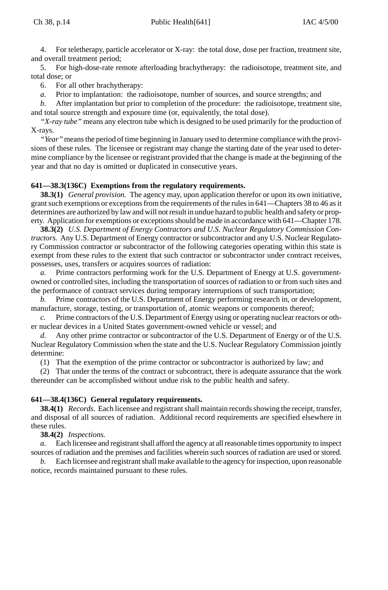4. For teletherapy, particle accelerator or X-ray: the total dose, dose per fraction, treatment site, and overall treatment period;

5. For high-dose-rate remote afterloading brachytherapy: the radioisotope, treatment site, and total dose; or

6. For all other brachytherapy:

*a.* Prior to implantation: the radioisotope, number of sources, and source strengths; and

*b.* After implantation but prior to completion of the procedure: the radioisotope, treatment site, and total source strength and exposure time (or, equivalently, the total dose).

*"X-ray tube"* means any electron tube which is designed to be used primarily for the production of X-rays.

*"Year"* means the period of time beginning in January used to determine compliance with the provisions of these rules. The licensee or registrant may change the starting date of the year used to determine compliance by the licensee or registrant provided that the change is made at the beginning of the year and that no day is omitted or duplicated in consecutive years.

## **641—38.3(136C) Exemptions from the regulatory requirements.**

**38.3(1)** *General provision.* The agency may, upon application therefor or upon its own initiative, grant such exemptions or exceptions from the requirements of the rules in 641—Chapters 38 to 46 as it determines are authorized by law and will not result in undue hazard to public health and safety or property. Application for exemptions or exceptions should be made in accordance with 641—Chapter 178.

**38.3(2)** *U.S. Department of Energy Contractors and U.S. Nuclear Regulatory Commission Contractors.* Any U.S. Department of Energy contractor or subcontractor and any U.S. Nuclear Regulatory Commission contractor or subcontractor of the following categories operating within this state is exempt from these rules to the extent that such contractor or subcontractor under contract receives, possesses, uses, transfers or acquires sources of radiation:

*a.* Prime contractors performing work for the U.S. Department of Energy at U.S. governmentowned or controlled sites, including the transportation of sources of radiation to or from such sites and the performance of contract services during temporary interruptions of such transportation;

*b.* Prime contractors of the U.S. Department of Energy performing research in, or development, manufacture, storage, testing, or transportation of, atomic weapons or components thereof;

*c.* Prime contractors of the U.S. Department of Energy using or operating nuclear reactors or other nuclear devices in a United States government-owned vehicle or vessel; and

*d.* Any other prime contractor or subcontractor of the U.S. Department of Energy or of the U.S. Nuclear Regulatory Commission when the state and the U.S. Nuclear Regulatory Commission jointly determine:

(1) That the exemption of the prime contractor or subcontractor is authorized by law; and

(2) That under the terms of the contract or subcontract, there is adequate assurance that the work thereunder can be accomplished without undue risk to the public health and safety.

#### **641—38.4(136C) General regulatory requirements.**

**38.4(1)** *Records.* Each licensee and registrant shall maintain records showing the receipt, transfer, and disposal of all sources of radiation. Additional record requirements are specified elsewhere in these rules.

#### **38.4(2)** *Inspections.*

*a.* Each licensee and registrant shall afford the agency at all reasonable times opportunity to inspect sources of radiation and the premises and facilities wherein such sources of radiation are used or stored.

*b.* Each licensee and registrant shall make available to the agency for inspection, upon reasonable notice, records maintained pursuant to these rules.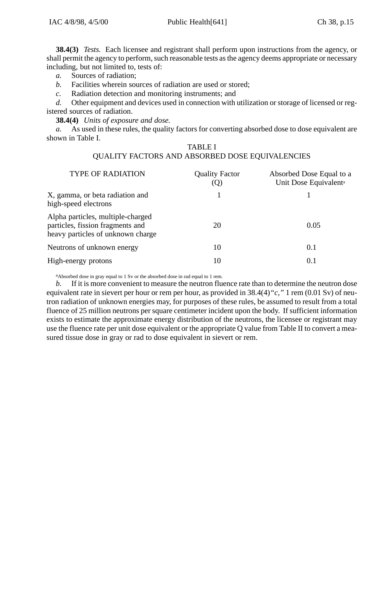**38.4(3)** *Tests.* Each licensee and registrant shall perform upon instructions from the agency, or shall permit the agency to perform, such reasonable tests as the agency deems appropriate or necessary including, but not limited to, tests of:

*a.* Sources of radiation;

- *b.* Facilities wherein sources of radiation are used or stored;
- *c.* Radiation detection and monitoring instruments; and

*d.* Other equipment and devices used in connection with utilization or storage of licensed or registered sources of radiation.

**38.4(4)** *Units of exposure and dose.*

*a.* As used in these rules, the quality factors for converting absorbed dose to dose equivalent are shown in Table I.

# TABLE I QUALITY FACTORS AND ABSORBED DOSE EQUIVALENCIES

| <b>TYPE OF RADIATION</b>                                                                                   | <b>Ouality Factor</b> | Absorbed Dose Equal to a<br>Unit Dose Equivalent <sup>a</sup> |
|------------------------------------------------------------------------------------------------------------|-----------------------|---------------------------------------------------------------|
| X, gamma, or beta radiation and<br>high-speed electrons                                                    |                       |                                                               |
| Alpha particles, multiple-charged<br>particles, fission fragments and<br>heavy particles of unknown charge | 20                    | 0.05                                                          |
| Neutrons of unknown energy                                                                                 | 10                    | 0.1                                                           |
| High-energy protons                                                                                        | 10                    | 0.1                                                           |

aAbsorbed dose in gray equal to 1 Sv or the absorbed dose in rad equal to 1 rem.

*b.* If it is more convenient to measure the neutron fluence rate than to determine the neutron dose equivalent rate in sievert per hour or rem per hour, as provided in 38.4(4)*"c,"* 1 rem (0.01 Sv) of neutron radiation of unknown energies may, for purposes of these rules, be assumed to result from a total fluence of 25 million neutrons per square centimeter incident upon the body. If sufficient information exists to estimate the approximate energy distribution of the neutrons, the licensee or registrant may use the fluence rate per unit dose equivalent or the appropriate Q value from Table II to convert a measured tissue dose in gray or rad to dose equivalent in sievert or rem.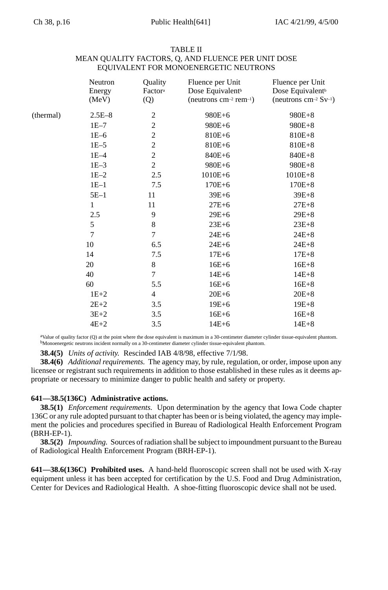| TABLE II                                           |
|----------------------------------------------------|
| MEAN OUALITY FACTORS, O, AND FLUENCE PER UNIT DOSE |
| EQUIVALENT FOR MONOENERGETIC NEUTRONS              |

| Energy<br>(MeV) | Factora<br>(Q)   | Dose Equivalent <sup>b</sup><br>(neutrons cm <sup>-2</sup> rem <sup>-1</sup> ) | Fluence per Unit<br>Dose Equivalent <sup>b</sup><br>(neutrons cm <sup>-2</sup> $Sv^{-1}$ ) |
|-----------------|------------------|--------------------------------------------------------------------------------|--------------------------------------------------------------------------------------------|
| $2.5E - 8$      | $\overline{c}$   | 980E+6                                                                         | 980E+8                                                                                     |
| $1E-7$          | $\overline{c}$   | 980E+6                                                                         | 980E+8                                                                                     |
| $1E-6$          | $\overline{c}$   | 810E+6                                                                         | 810E+8                                                                                     |
| $1E-5$          | $\overline{c}$   | 810E+6                                                                         | 810E+8                                                                                     |
| $1E-4$          | $\sqrt{2}$       | 840E+6                                                                         | 840E+8                                                                                     |
| $1E-3$          | $\boldsymbol{2}$ | 980E+6                                                                         | 980E+8                                                                                     |
| $1E-2$          | 2.5              | $1010E + 6$                                                                    | $1010E + 8$                                                                                |
| $1E-1$          | 7.5              | $170E + 6$                                                                     | $170E + 8$                                                                                 |
| $5E-1$          | 11               | $39E + 6$                                                                      | $39E + 8$                                                                                  |
| 1               | 11               | $27E+6$                                                                        | $27E + 8$                                                                                  |
| 2.5             | 9                | $29E + 6$                                                                      | $29E + 8$                                                                                  |
| 5               | $\,$ 8 $\,$      | $23E+6$                                                                        | $23E + 8$                                                                                  |
| 7               | 7                | $24E + 6$                                                                      | $24E + 8$                                                                                  |
| 10              | 6.5              | $24E + 6$                                                                      | $24E + 8$                                                                                  |
| 14              | 7.5              | $17E + 6$                                                                      | $17E + 8$                                                                                  |
| 20              | 8                | $16E + 6$                                                                      | $16E + 8$                                                                                  |
| 40              | 7                | $14E + 6$                                                                      | $14E + 8$                                                                                  |
| 60              | 5.5              | $16E + 6$                                                                      | $16E + 8$                                                                                  |
| $1E+2$          | $\overline{4}$   | $20E + 6$                                                                      | $20E + 8$                                                                                  |
| $2E+2$          | 3.5              | $19E + 6$                                                                      | $19E + 8$                                                                                  |
| $3E+2$          | 3.5              | $16E + 6$                                                                      | $16E + 8$                                                                                  |
| $4E+2$          | 3.5              | $14E + 6$                                                                      | $14E + 8$                                                                                  |
|                 | Neutron          |                                                                                | Quality<br>Fluence per Unit                                                                |

 $a$ Value of quality factor (Q) at the point where the dose equivalent is maximum in a 30-centimeter diameter cylinder tissue-equivalent phantom.<br>bMonoenergetic neutrons incident normally on a 30-centimeter diameter cylind

**38.4(5)** *Units of activity.* Rescinded IAB 4/8/98, effective 7/1/98.

**38.4(6)** *Additional requirements.* The agency may, by rule, regulation, or order, impose upon any licensee or registrant such requirements in addition to those established in these rules as it deems appropriate or necessary to minimize danger to public health and safety or property.

# **641—38.5(136C) Administrative actions.**

**38.5(1)** *Enforcement requirements.* Upon determination by the agency that Iowa Code chapter 136C or any rule adopted pursuant to that chapter has been or is being violated, the agency may implement the policies and procedures specified in Bureau of Radiological Health Enforcement Program (BRH-EP-1).

**38.5(2)** *Impounding.* Sources of radiation shall be subject to impoundment pursuant to the Bureau of Radiological Health Enforcement Program (BRH-EP-1).

**641—38.6(136C) Prohibited uses.** A hand-held fluoroscopic screen shall not be used with X-ray equipment unless it has been accepted for certification by the U.S. Food and Drug Administration, Center for Devices and Radiological Health. A shoe-fitting fluoroscopic device shall not be used.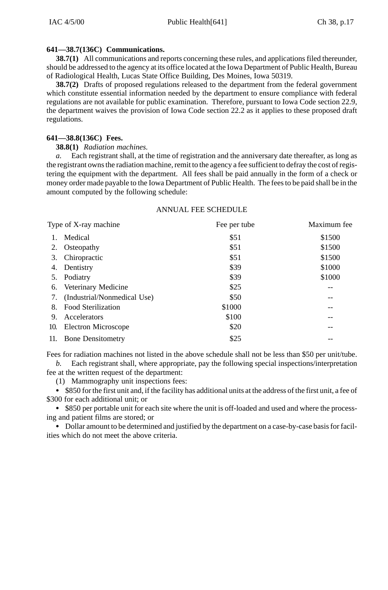### **641—38.7(136C) Communications.**

**38.7(1)** All communications and reports concerning these rules, and applications filed thereunder, should be addressed to the agency at its office located at the Iowa Department of Public Health, Bureau of Radiological Health, Lucas State Office Building, Des Moines, Iowa 50319.

**38.7(2)** Drafts of proposed regulations released to the department from the federal government which constitute essential information needed by the department to ensure compliance with federal regulations are not available for public examination. Therefore, pursuant to Iowa Code section 22.9, the department waives the provision of Iowa Code section 22.2 as it applies to these proposed draft regulations.

#### **641—38.8(136C) Fees.**

#### **38.8(1)** *Radiation machines.*

*a.* Each registrant shall, at the time of registration and the anniversary date thereafter, as long as the registrant owns the radiation machine, remit to the agency a fee sufficient to defray the cost of registering the equipment with the department. All fees shall be paid annually in the form of a check or money order made payable to the Iowa Department of Public Health. The fees to be paid shall be in the amount computed by the following schedule:

# ANNUAL FEE SCHEDULE

|     | Type of X-ray machine          | Fee per tube | Maximum fee |
|-----|--------------------------------|--------------|-------------|
|     | Medical                        | \$51         | \$1500      |
| 2.  | Osteopathy                     | \$51         | \$1500      |
| 3.  | Chiropractic                   | \$51         | \$1500      |
| 4.  | Dentistry                      | \$39         | \$1000      |
|     | 5. Podiatry                    | \$39         | \$1000      |
|     | 6. Veterinary Medicine         | \$25         | --          |
|     | 7. (Industrial/Nonmedical Use) | \$50         | $- -$       |
| 8.  | <b>Food Sterilization</b>      | \$1000       | --          |
| 9.  | Accelerators                   | \$100        | --          |
| 10. | Electron Microscope            | \$20         |             |
|     | 11. Bone Densitometry          | \$25         |             |

Fees for radiation machines not listed in the above schedule shall not be less than \$50 per unit/tube.

*b.* Each registrant shall, where appropriate, pay the following special inspections/interpretation fee at the written request of the department:

(1) Mammography unit inspections fees:

 \$850 for the first unit and, if the facility has additional units at the address of the first unit, a fee of \$300 for each additional unit; or

 \$850 per portable unit for each site where the unit is off-loaded and used and where the processing and patient films are stored; or

 Dollar amount to be determined and justified by the department on a case-by-case basis for facilities which do not meet the above criteria.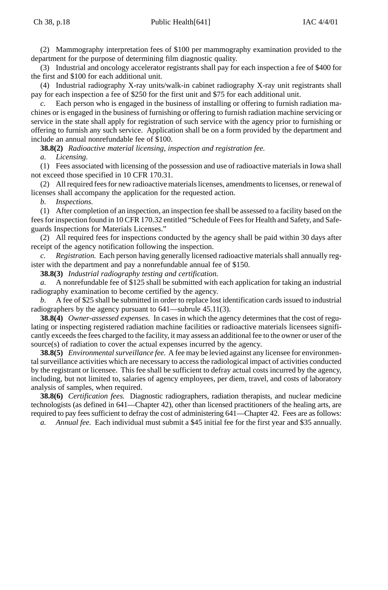(2) Mammography interpretation fees of \$100 per mammography examination provided to the department for the purpose of determining film diagnostic quality.

(3) Industrial and oncology accelerator registrants shall pay for each inspection a fee of \$400 for the first and \$100 for each additional unit.

(4) Industrial radiography X-ray units/walk-in cabinet radiography X-ray unit registrants shall pay for each inspection a fee of \$250 for the first unit and \$75 for each additional unit.

Each person who is engaged in the business of installing or offering to furnish radiation machines or is engaged in the business of furnishing or offering to furnish radiation machine servicing or service in the state shall apply for registration of such service with the agency prior to furnishing or offering to furnish any such service. Application shall be on a form provided by the department and include an annual nonrefundable fee of \$100.

**38.8(2)** *Radioactive material licensing, inspection and registration fee.*

*a. Licensing.*

(1) Fees associated with licensing of the possession and use of radioactive materials in Iowa shall not exceed those specified in 10 CFR 170.31.

(2) All required fees for new radioactive materials licenses, amendments to licenses, or renewal of licenses shall accompany the application for the requested action.

*b. Inspections.*

(1) After completion of an inspection, an inspection fee shall be assessed to a facility based on the fees for inspection found in 10 CFR 170.32 entitled "Schedule of Fees for Health and Safety, and Safeguards Inspections for Materials Licenses."

(2) All required fees for inspections conducted by the agency shall be paid within 30 days after receipt of the agency notification following the inspection.

*c. Registration.* Each person having generally licensed radioactive materials shall annually register with the department and pay a nonrefundable annual fee of \$150.

**38.8(3)** *Industrial radiography testing and certification.*

*a.* A nonrefundable fee of \$125 shall be submitted with each application for taking an industrial radiography examination to become certified by the agency.

*b.* A fee of \$25 shall be submitted in order to replace lost identification cards issued to industrial radiographers by the agency pursuant to 641—subrule 45.11(3).

**38.8(4)** *Owner-assessed expenses.* In cases in which the agency determines that the cost of regulating or inspecting registered radiation machine facilities or radioactive materials licensees significantly exceeds the fees charged to the facility, it may assess an additional fee to the owner or user of the source(s) of radiation to cover the actual expenses incurred by the agency.

**38.8(5)** *Environmental surveillance fee.* A fee may be levied against any licensee for environmental surveillance activities which are necessary to access the radiological impact of activities conducted by the registrant or licensee. This fee shall be sufficient to defray actual costs incurred by the agency, including, but not limited to, salaries of agency employees, per diem, travel, and costs of laboratory analysis of samples, when required.

**38.8(6)** *Certification fees.* Diagnostic radiographers, radiation therapists, and nuclear medicine technologists (as defined in 641—Chapter 42), other than licensed practitioners of the healing arts, are required to pay fees sufficient to defray the cost of administering 641—Chapter 42. Fees are as follows:

*a. Annual fee.* Each individual must submit a \$45 initial fee for the first year and \$35 annually.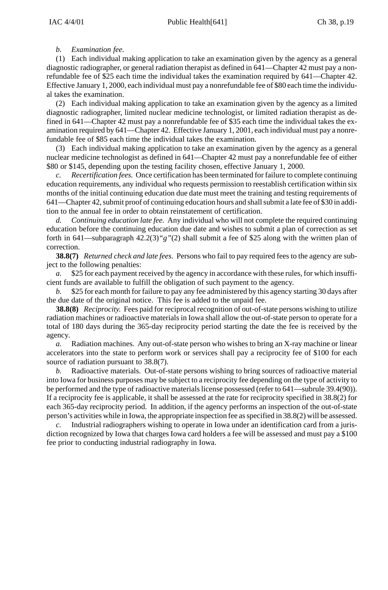### *b. Examination fee.*

(1) Each individual making application to take an examination given by the agency as a general diagnostic radiographer, or general radiation therapist as defined in 641—Chapter 42 must pay a nonrefundable fee of \$25 each time the individual takes the examination required by 641—Chapter 42. Effective January 1, 2000, each individual must pay a nonrefundable fee of \$80 each time the individual takes the examination.

(2) Each individual making application to take an examination given by the agency as a limited diagnostic radiographer, limited nuclear medicine technologist, or limited radiation therapist as defined in 641—Chapter 42 must pay a nonrefundable fee of \$35 each time the individual takes the examination required by 641—Chapter 42. Effective January 1, 2001, each individual must pay a nonrefundable fee of \$85 each time the individual takes the examination.

(3) Each individual making application to take an examination given by the agency as a general nuclear medicine technologist as defined in 641—Chapter 42 must pay a nonrefundable fee of either \$80 or \$145, depending upon the testing facility chosen, effective January 1, 2000.

*c. Recertification fees.* Once certification has been terminated for failure to complete continuing education requirements, any individual who requests permission to reestablish certification within six months of the initial continuing education due date must meet the training and testing requirements of 641—Chapter 42, submit proof of continuing education hours and shall submit a late fee of \$30 in addition to the annual fee in order to obtain reinstatement of certification.

*d. Continuing education late fee.* Any individual who will not complete the required continuing education before the continuing education due date and wishes to submit a plan of correction as set forth in 641—subparagraph 42.2(3)*"g"*(2) shall submit a fee of \$25 along with the written plan of correction.

**38.8(7)** *Returned check and late fees.* Persons who fail to pay required fees to the agency are subject to the following penalties:

\$25 for each payment received by the agency in accordance with these rules, for which insufficient funds are available to fulfill the obligation of such payment to the agency.

*b.* \$25 for each month for failure to pay any fee administered by this agency starting 30 days after the due date of the original notice. This fee is added to the unpaid fee.

**38.8(8)** *Reciprocity.* Fees paid for reciprocal recognition of out-of-state persons wishing to utilize radiation machines or radioactive materials in Iowa shall allow the out-of-state person to operate for a total of 180 days during the 365-day reciprocity period starting the date the fee is received by the agency.

*a.* Radiation machines. Any out-of-state person who wishes to bring an X-ray machine or linear accelerators into the state to perform work or services shall pay a reciprocity fee of \$100 for each source of radiation pursuant to 38.8(7).

*b.* Radioactive materials. Out-of-state persons wishing to bring sources of radioactive material into Iowa for business purposes may be subject to a reciprocity fee depending on the type of activity to be performed and the type of radioactive materials license possessed (refer to 641—subrule 39.4(90)). If a reciprocity fee is applicable, it shall be assessed at the rate for reciprocity specified in 38.8(2) for each 365-day reciprocity period. In addition, if the agency performs an inspection of the out-of-state person's activities while in Iowa, the appropriate inspection fee as specified in 38.8(2) will be assessed.

*c.* Industrial radiographers wishing to operate in Iowa under an identification card from a jurisdiction recognized by Iowa that charges Iowa card holders a fee will be assessed and must pay a \$100 fee prior to conducting industrial radiography in Iowa.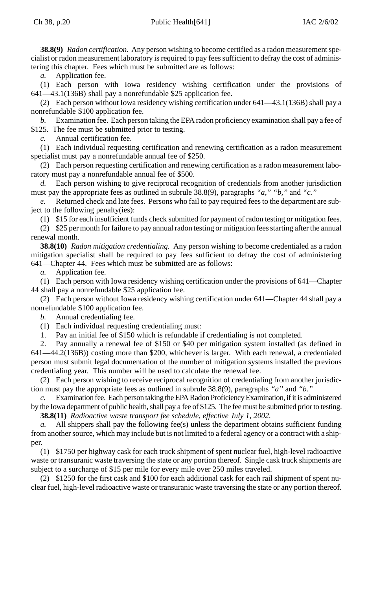**38.8(9)** *Radon certification.* Any person wishing to become certified as a radon measurement specialist or radon measurement laboratory is required to pay fees sufficient to defray the cost of administering this chapter. Fees which must be submitted are as follows:

*a.* Application fee.

(1) Each person with Iowa residency wishing certification under the provisions of 641—43.1(136B) shall pay a nonrefundable \$25 application fee.

(2) Each person without Iowa residency wishing certification under 641—43.1(136B) shall pay a nonrefundable \$100 application fee.

*b.* Examination fee. Each person taking the EPA radon proficiency examination shall pay a fee of \$125. The fee must be submitted prior to testing.

*c.* Annual certification fee.

(1) Each individual requesting certification and renewing certification as a radon measurement specialist must pay a nonrefundable annual fee of \$250.

(2) Each person requesting certification and renewing certification as a radon measurement laboratory must pay a nonrefundable annual fee of \$500.

*d.* Each person wishing to give reciprocal recognition of credentials from another jurisdiction must pay the appropriate fees as outlined in subrule 38.8(9), paragraphs *"a," "b,"* and *"c."*

*e.* Returned check and late fees. Persons who fail to pay required fees to the department are subject to the following penalty(ies):

(1) \$15 for each insufficient funds check submitted for payment of radon testing or mitigation fees.

(2) \$25 per month for failure to pay annual radon testing or mitigation fees starting after the annual renewal month.

**38.8(10)** *Radon mitigation credentialing.* Any person wishing to become credentialed as a radon mitigation specialist shall be required to pay fees sufficient to defray the cost of administering 641—Chapter 44. Fees which must be submitted are as follows:

*a.* Application fee.

(1) Each person with Iowa residency wishing certification under the provisions of 641—Chapter 44 shall pay a nonrefundable \$25 application fee.

(2) Each person without Iowa residency wishing certification under 641—Chapter 44 shall pay a nonrefundable \$100 application fee.

*b.* Annual credentialing fee.

(1) Each individual requesting credentialing must:

1. Pay an initial fee of \$150 which is refundable if credentialing is not completed.

2. Pay annually a renewal fee of \$150 or \$40 per mitigation system installed (as defined in 641—44.2(136B)) costing more than \$200, whichever is larger. With each renewal, a credentialed person must submit legal documentation of the number of mitigation systems installed the previous credentialing year. This number will be used to calculate the renewal fee.

(2) Each person wishing to receive reciprocal recognition of credentialing from another jurisdiction must pay the appropriate fees as outlined in subrule 38.8(9), paragraphs *"a"* and *"b."*

*c.* Examination fee. Each person taking the EPA Radon Proficiency Examination, if it is administered by the Iowa department of public health, shall pay a fee of \$125. The fee must be submitted prior to testing.

**38.8(11)** *Radioactive waste transport fee schedule, effective July 1, 2002.*

All shippers shall pay the following fee(s) unless the department obtains sufficient funding from another source, which may include but is not limited to a federal agency or a contract with a shipper.

(1) \$1750 per highway cask for each truck shipment of spent nuclear fuel, high-level radioactive waste or transuranic waste traversing the state or any portion thereof. Single cask truck shipments are subject to a surcharge of \$15 per mile for every mile over 250 miles traveled.

(2) \$1250 for the first cask and \$100 for each additional cask for each rail shipment of spent nuclear fuel, high-level radioactive waste or transuranic waste traversing the state or any portion thereof.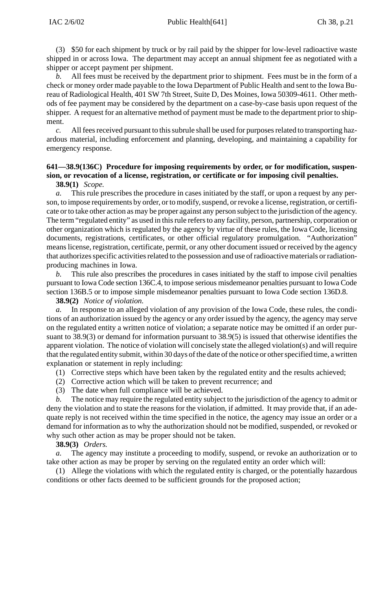(3) \$50 for each shipment by truck or by rail paid by the shipper for low-level radioactive waste shipped in or across Iowa. The department may accept an annual shipment fee as negotiated with a shipper or accept payment per shipment.

*b.* All fees must be received by the department prior to shipment. Fees must be in the form of a check or money order made payable to the Iowa Department of Public Health and sent to the Iowa Bureau of Radiological Health, 401 SW 7th Street, Suite D, Des Moines, Iowa 50309-4611. Other methods of fee payment may be considered by the department on a case-by-case basis upon request of the shipper. A request for an alternative method of payment must be made to the department prior to shipment.

*c.* All fees received pursuant to this subrule shall be used for purposes related to transporting hazardous material, including enforcement and planning, developing, and maintaining a capability for emergency response.

# **641—38.9(136C) Procedure for imposing requirements by order, or for modification, suspension, or revocation of a license, registration, or certificate or for imposing civil penalties.**

#### **38.9(1)** *Scope.*

*a.* This rule prescribes the procedure in cases initiated by the staff, or upon a request by any person, to impose requirements by order, or to modify, suspend, or revoke a license, registration, or certificate or to take other action as may be proper against any person subject to the jurisdiction of the agency. The term "regulated entity" as used in this rule refers to any facility, person, partnership, corporation or other organization which is regulated by the agency by virtue of these rules, the Iowa Code, licensing documents, registrations, certificates, or other official regulatory promulgation. "Authorization" means license, registration, certificate, permit, or any other document issued or received by the agency that authorizes specific activities related to the possession and use of radioactive materials or radiationproducing machines in Iowa.

*b.* This rule also prescribes the procedures in cases initiated by the staff to impose civil penalties pursuant to Iowa Code section 136C.4, to impose serious misdemeanor penalties pursuant to Iowa Code section 136B.5 or to impose simple misdemeanor penalties pursuant to Iowa Code section 136D.8.

**38.9(2)** *Notice of violation.*

*a.* In response to an alleged violation of any provision of the Iowa Code, these rules, the conditions of an authorization issued by the agency or any order issued by the agency, the agency may serve on the regulated entity a written notice of violation; a separate notice may be omitted if an order pursuant to 38.9(3) or demand for information pursuant to 38.9(5) is issued that otherwise identifies the apparent violation. The notice of violation will concisely state the alleged violation(s) and will require that the regulated entity submit, within 30 days of the date of the notice or other specified time, a written explanation or statement in reply including:

- (1) Corrective steps which have been taken by the regulated entity and the results achieved;
- (2) Corrective action which will be taken to prevent recurrence; and
- (3) The date when full compliance will be achieved.

*b.* The notice may require the regulated entity subject to the jurisdiction of the agency to admit or deny the violation and to state the reasons for the violation, if admitted. It may provide that, if an adequate reply is not received within the time specified in the notice, the agency may issue an order or a demand for information as to why the authorization should not be modified, suspended, or revoked or why such other action as may be proper should not be taken.

#### **38.9(3)** *Orders.*

The agency may institute a proceeding to modify, suspend, or revoke an authorization or to take other action as may be proper by serving on the regulated entity an order which will:

(1) Allege the violations with which the regulated entity is charged, or the potentially hazardous conditions or other facts deemed to be sufficient grounds for the proposed action;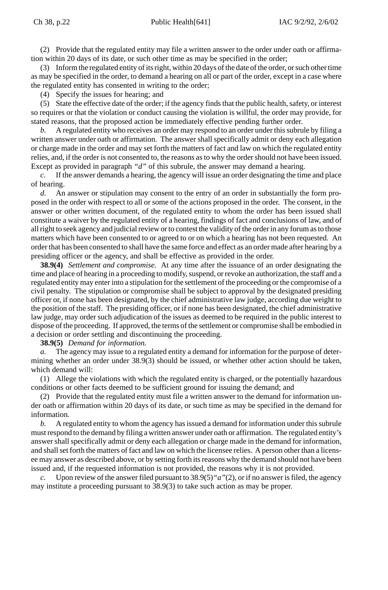(2) Provide that the regulated entity may file a written answer to the order under oath or affirmation within 20 days of its date, or such other time as may be specified in the order;

(3) Inform the regulated entity of its right, within 20 days of the date of the order, or such other time as may be specified in the order, to demand a hearing on all or part of the order, except in a case where the regulated entity has consented in writing to the order;

(4) Specify the issues for hearing; and

(5) State the effective date of the order; if the agency finds that the public health, safety, or interest so requires or that the violation or conduct causing the violation is willful, the order may provide, for stated reasons, that the proposed action be immediately effective pending further order.

*b.* A regulated entity who receives an order may respond to an order under this subrule by filing a written answer under oath or affirmation. The answer shall specifically admit or deny each allegation or charge made in the order and may set forth the matters of fact and law on which the regulated entity relies, and, if the order is not consented to, the reasons as to why the order should not have been issued. Except as provided in paragraph *"d"* of this subrule, the answer may demand a hearing.

*c.* If the answer demands a hearing, the agency will issue an order designating the time and place of hearing.

*d.* An answer or stipulation may consent to the entry of an order in substantially the form proposed in the order with respect to all or some of the actions proposed in the order. The consent, in the answer or other written document, of the regulated entity to whom the order has been issued shall constitute a waiver by the regulated entity of a hearing, findings of fact and conclusions of law, and of all right to seek agency and judicial review or to contest the validity of the order in any forum as to those matters which have been consented to or agreed to or on which a hearing has not been requested. An order that has been consented to shall have the same force and effect as an order made after hearing by a presiding officer or the agency, and shall be effective as provided in the order.

**38.9(4)** *Settlement and compromise.* At any time after the issuance of an order designating the time and place of hearing in a proceeding to modify, suspend, or revoke an authorization, the staff and a regulated entity may enter into a stipulation for the settlement of the proceeding or the compromise of a civil penalty. The stipulation or compromise shall be subject to approval by the designated presiding officer or, if none has been designated, by the chief administrative law judge, according due weight to the position of the staff. The presiding officer, or if none has been designated, the chief administrative law judge, may order such adjudication of the issues as deemed to be required in the public interest to dispose of the proceeding. If approved, the terms of the settlement or compromise shall be embodied in a decision or order settling and discontinuing the proceeding.

**38.9(5)** *Demand for information.*

*a.* The agency may issue to a regulated entity a demand for information for the purpose of determining whether an order under 38.9(3) should be issued, or whether other action should be taken, which demand will:

(1) Allege the violations with which the regulated entity is charged, or the potentially hazardous conditions or other facts deemed to be sufficient ground for issuing the demand; and

(2) Provide that the regulated entity must file a written answer to the demand for information under oath or affirmation within 20 days of its date, or such time as may be specified in the demand for information.

*b.* A regulated entity to whom the agency has issued a demand for information under this subrule must respond to the demand by filing a written answer under oath or affirmation. The regulated entity's answer shall specifically admit or deny each allegation or charge made in the demand for information, and shall set forth the matters of fact and law on which the licensee relies. A person other than a licensee may answer as described above, or by setting forth its reasons why the demand should not have been issued and, if the requested information is not provided, the reasons why it is not provided.

*c.* Upon review of the answer filed pursuant to 38.9(5)*"a"*(2), or if no answer is filed, the agency may institute a proceeding pursuant to 38.9(3) to take such action as may be proper.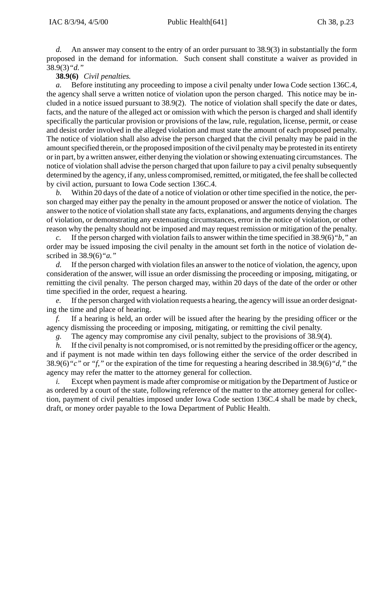*d.* An answer may consent to the entry of an order pursuant to 38.9(3) in substantially the form proposed in the demand for information. Such consent shall constitute a waiver as provided in 38.9(3)*"d."*

### **38.9(6)** *Civil penalties.*

*a.* Before instituting any proceeding to impose a civil penalty under Iowa Code section 136C.4, the agency shall serve a written notice of violation upon the person charged. This notice may be included in a notice issued pursuant to 38.9(2). The notice of violation shall specify the date or dates, facts, and the nature of the alleged act or omission with which the person is charged and shall identify specifically the particular provision or provisions of the law, rule, regulation, license, permit, or cease and desist order involved in the alleged violation and must state the amount of each proposed penalty. The notice of violation shall also advise the person charged that the civil penalty may be paid in the amount specified therein, or the proposed imposition of the civil penalty may be protested in its entirety or in part, by a written answer, either denying the violation or showing extenuating circumstances. The notice of violation shall advise the person charged that upon failure to pay a civil penalty subsequently determined by the agency, if any, unless compromised, remitted, or mitigated, the fee shall be collected by civil action, pursuant to Iowa Code section 136C.4.

*b.* Within 20 days of the date of a notice of violation or other time specified in the notice, the person charged may either pay the penalty in the amount proposed or answer the notice of violation. The answer to the notice of violation shall state any facts, explanations, and arguments denying the charges of violation, or demonstrating any extenuating circumstances, error in the notice of violation, or other reason why the penalty should not be imposed and may request remission or mitigation of the penalty.

*c.* If the person charged with violation fails to answer within the time specified in 38.9(6)*"b,"* an order may be issued imposing the civil penalty in the amount set forth in the notice of violation described in 38.9(6)*"a."*

*d.* If the person charged with violation files an answer to the notice of violation, the agency, upon consideration of the answer, will issue an order dismissing the proceeding or imposing, mitigating, or remitting the civil penalty. The person charged may, within 20 days of the date of the order or other time specified in the order, request a hearing.

*e.* If the person charged with violation requests a hearing, the agency will issue an order designating the time and place of hearing.

*f.* If a hearing is held, an order will be issued after the hearing by the presiding officer or the agency dismissing the proceeding or imposing, mitigating, or remitting the civil penalty.

*g.* The agency may compromise any civil penalty, subject to the provisions of 38.9(4).

*h.* If the civil penalty is not compromised, or is not remitted by the presiding officer or the agency, and if payment is not made within ten days following either the service of the order described in 38.9(6)*"c"* or *"f,"* or the expiration of the time for requesting a hearing described in 38.9(6)*"d,"* the agency may refer the matter to the attorney general for collection.

*i.* Except when payment is made after compromise or mitigation by the Department of Justice or as ordered by a court of the state, following reference of the matter to the attorney general for collection, payment of civil penalties imposed under Iowa Code section 136C.4 shall be made by check, draft, or money order payable to the Iowa Department of Public Health.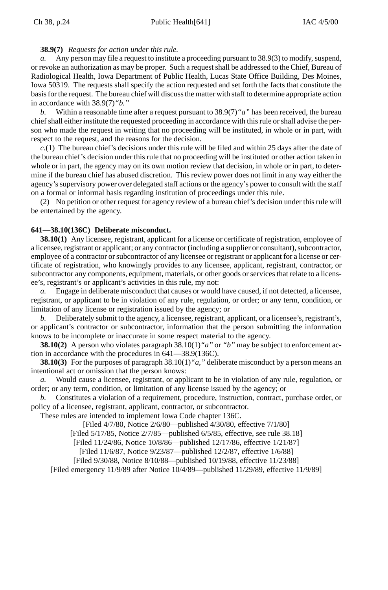## **38.9(7)** *Requests for action under this rule.*

*a.* Any person may file a request to institute a proceeding pursuant to 38.9(3) to modify, suspend, or revoke an authorization as may be proper. Such a request shall be addressed to the Chief, Bureau of Radiological Health, Iowa Department of Public Health, Lucas State Office Building, Des Moines, Iowa 50319. The requests shall specify the action requested and set forth the facts that constitute the basis for the request. The bureau chief will discuss the matter with staff to determine appropriate action in accordance with 38.9(7)*"b."*

*b.* Within a reasonable time after a request pursuant to 38.9(7)*"a"* has been received, the bureau chief shall either institute the requested proceeding in accordance with this rule or shall advise the person who made the request in writing that no proceeding will be instituted, in whole or in part, with respect to the request, and the reasons for the decision.

*c.*(1) The bureau chief's decisions under this rule will be filed and within 25 days after the date of the bureau chief's decision under this rule that no proceeding will be instituted or other action taken in whole or in part, the agency may on its own motion review that decision, in whole or in part, to determine if the bureau chief has abused discretion. This review power does not limit in any way either the agency's supervisory power over delegated staff actions or the agency's power to consult with the staff on a formal or informal basis regarding institution of proceedings under this rule.

(2) No petition or other request for agency review of a bureau chief's decision under this rule will be entertained by the agency.

#### **641—38.10(136C) Deliberate misconduct.**

**38.10(1)** Any licensee, registrant, applicant for a license or certificate of registration, employee of a licensee, registrant or applicant; or any contractor (including a supplier or consultant), subcontractor, employee of a contractor or subcontractor of any licensee or registrant or applicant for a license or certificate of registration, who knowingly provides to any licensee, applicant, registrant, contractor, or subcontractor any components, equipment, materials, or other goods or services that relate to a licensee's, registrant's or applicant's activities in this rule, my not:

*a.* Engage in deliberate misconduct that causes or would have caused, if not detected, a licensee, registrant, or applicant to be in violation of any rule, regulation, or order; or any term, condition, or limitation of any license or registration issued by the agency; or

*b.* Deliberately submit to the agency, a licensee, registrant, applicant, or a licensee's, registrant's, or applicant's contractor or subcontractor, information that the person submitting the information knows to be incomplete or inaccurate in some respect material to the agency.

**38.10(2)** A person who violates paragraph 38.10(1)*"a"* or *"b"* may be subject to enforcement action in accordance with the procedures in 641—38.9(136C).

**38.10(3)** For the purposes of paragraph 38.10(1)*"a,"* deliberate misconduct by a person means an intentional act or omission that the person knows:

*a.* Would cause a licensee, registrant, or applicant to be in violation of any rule, regulation, or order; or any term, condition, or limitation of any license issued by the agency; or

*b.* Constitutes a violation of a requirement, procedure, instruction, contract, purchase order, or policy of a licensee, registrant, applicant, contractor, or subcontractor.

These rules are intended to implement Iowa Code chapter 136C.

[Filed 4/7/80, Notice 2/6/80—published 4/30/80, effective 7/1/80]

[Filed 5/17/85, Notice 2/7/85—published 6/5/85, effective, see rule 38.18]

[Filed 11/24/86, Notice 10/8/86—published 12/17/86, effective 1/21/87]

[Filed 11/6/87, Notice 9/23/87—published 12/2/87, effective 1/6/88]

[Filed 9/30/88, Notice 8/10/88—published 10/19/88, effective 11/23/88]

[Filed emergency 11/9/89 after Notice 10/4/89—published 11/29/89, effective 11/9/89]